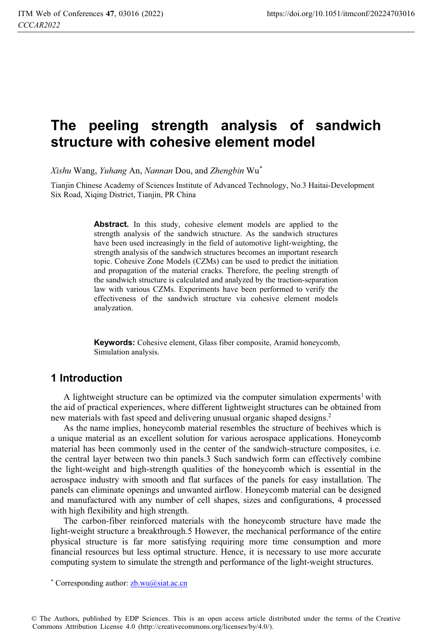# **The peeling strength analysis of sandwich structure with cohesive element model**

*Xishu* Wang, *Yuhang* An, *Nannan* Dou, and *Zhengbin* Wu\*

Tianjin Chinese Academy of Sciences Institute of Advanced Technology, No.3 Haitai-Development Six Road, Xiqing District, Tianjin, PR China

> Abstract. In this study, cohesive element models are applied to the strength analysis of the sandwich structure. As the sandwich structures have been used increasingly in the field of automotive light-weighting, the strength analysis of the sandwich structures becomes an important research topic. Cohesive Zone Models (CZMs) can be used to predict the initiation and propagation of the material cracks. Therefore, the peeling strength of the sandwich structure is calculated and analyzed by the traction-separation law with various CZMs. Experiments have been performed to verify the effectiveness of the sandwich structure via cohesive element models analyzation.

> **Keywords:** Cohesive element, Glass fiber composite, Aramid honeycomb, Simulation analysis.

## **1 Introduction**

A lightweight structure can be optimized via the computer simulation experments<sup>1</sup> with the aid of practical experiences, where different lightweight structures can be obtained from new materials with fast speed and delivering unusual organic shaped designs.2

As the name implies, honeycomb material resembles the structure of beehives which is a unique material as an excellent solution for various aerospace applications. Honeycomb material has been commonly used in the center of the sandwich-structure composites, i.e. the central layer between two thin panels.3 Such sandwich form can effectively combine the light-weight and high-strength qualities of the honeycomb which is essential in the aerospace industry with smooth and flat surfaces of the panels for easy installation. The panels can eliminate openings and unwanted airflow. Honeycomb material can be designed and manufactured with any number of cell shapes, sizes and configurations, 4 processed with high flexibility and high strength.

The carbon-fiber reinforced materials with the honeycomb structure have made the light-weight structure a breakthrough.5 However, the mechanical performance of the entire physical structure is far more satisfying requiring more time consumption and more financial resources but less optimal structure. Hence, it is necessary to use more accurate computing system to simulate the strength and performance of the light-weight structures.

<sup>\*</sup> Corresponding author:  $z$ b.wu $@$ siat.ac.cn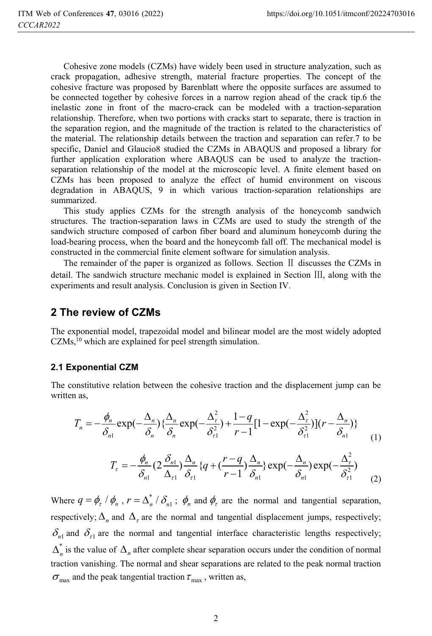Cohesive zone models (CZMs) have widely been used in structure analyzation, such as crack propagation, adhesive strength, material fracture properties. The concept of the cohesive fracture was proposed by Barenblatt where the opposite surfaces are assumed to be connected together by cohesive forces in a narrow region ahead of the crack tip.6 the inelastic zone in front of the macro-crack can be modeled with a traction-separation relationship. Therefore, when two portions with cracks start to separate, there is traction in the separation region, and the magnitude of the traction is related to the characteristics of the material. The relationship details between the traction and separation can refer.7 to be specific, Daniel and Glaucio8 studied the CZMs in ABAQUS and proposed a library for further application exploration where ABAQUS can be used to analyze the tractionseparation relationship of the model at the microscopic level. A finite element based on CZMs has been proposed to analyze the effect of humid environment on viscous degradation in ABAQUS, 9 in which various traction-separation relationships are summarized.

This study applies CZMs for the strength analysis of the honeycomb sandwich structures. The traction-separation laws in CZMs are used to study the strength of the sandwich structure composed of carbon fiber board and aluminum honeycomb during the load-bearing process, when the board and the honeycomb fall off. The mechanical model is constructed in the commercial finite element software for simulation analysis.

The remainder of the paper is organized as follows. Section  $II$  discusses the CZMs in detail. The sandwich structure mechanic model is explained in Section  $III$ , along with the experiments and result analysis. Conclusion is given in Section IV.

### **2 The review of CZMs**

The exponential model, trapezoidal model and bilinear model are the most widely adopted  $CZMs$ ,<sup>10</sup> which are explained for peel strength simulation.

### **2.1 Exponential CZM**

The constitutive relation between the cohesive traction and the displacement jump can be written as,

$$
T_n = -\frac{\phi_n}{\delta_{n1}} \exp(-\frac{\Delta_n}{\delta_n}) \left\{ \frac{\Delta_n}{\delta_n} \exp(-\frac{\Delta_{\tau}^2}{\delta_{\tau}^2}) + \frac{1-q}{r-1} [1 - \exp(-\frac{\Delta_{\tau}^2}{\delta_{\tau}^2})] (r - \frac{\Delta_n}{\delta_{n1}}) \right\}
$$
(1)

$$
T_{\tau} = -\frac{\phi_n}{\delta_{n1}} \left( 2 \frac{\delta_{n1}}{\Delta_{\tau 1}} \right) \frac{\Delta_n}{\delta_{\tau 1}} \left\{ q + \left( \frac{r - q}{r - 1} \right) \frac{\Delta_n}{\delta_{n1}} \right\} \exp\left(-\frac{\Delta_n}{\delta_{n1}} \right) \exp\left(-\frac{\Delta_{\tau}^2}{\delta_{\tau 1}^2} \right) \tag{2}
$$

Where  $q = \phi_r / \phi_n$ ,  $r = \Delta_n^* / \delta_{n}$ ;  $\phi_n$  and  $\phi_r$  are the normal and tangential separation, respectively;  $\Delta_n$  and  $\Delta_{\tau}$  are the normal and tangential displacement jumps, respectively;  $\delta_{n1}$  and  $\delta_{\tau1}$  are the normal and tangential interface characteristic lengths respectively;  $\Delta_n^*$  is the value of  $\Delta_n$  after complete shear separation occurs under the condition of normal traction vanishing. The normal and shear separations are related to the peak normal traction  $\sigma_{\text{max}}$  and the peak tangential traction  $\tau_{\text{max}}$ , written as,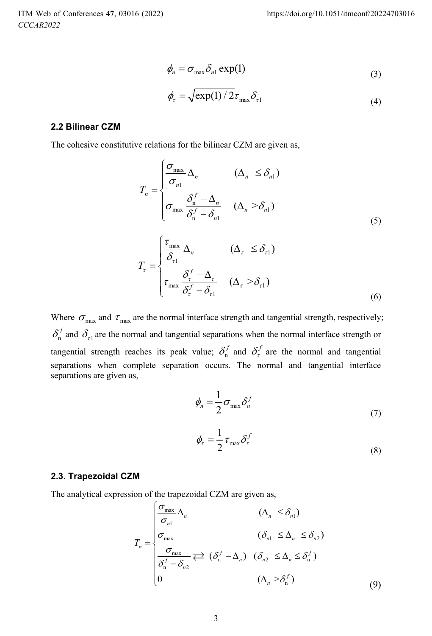$$
\phi_n = \sigma_{\max} \delta_{n1} \exp(1) \tag{3}
$$

$$
\phi_{\tau} = \sqrt{\exp(1)/2}\tau_{\max}\delta_{\tau 1}
$$
\n(4)

### **2.2 Bilinear CZM**

The cohesive constitutive relations for the bilinear CZM are given as,

$$
T_n = \begin{cases} \frac{\sigma_{\text{max}}}{\sigma_n} \Delta_n & (\Delta_n \le \delta_{n1}) \\ \sigma_{\text{max}} \frac{\delta_n^f - \Delta_n}{\delta_n^f - \delta_{n1}} & (\Delta_n > \delta_{n1}) \end{cases}
$$
(5)

$$
T_{\tau} = \begin{cases} \frac{\tau_{\text{max}}}{\delta_{\tau 1}} \Delta_n & (\Delta_{\tau} \le \delta_{\tau 1}) \\ \tau_{\text{max}} \frac{\delta_{\tau}^f - \Delta_{\tau}}{\delta_{\tau}^f - \delta_{\tau 1}} & (\Delta_{\tau} > \delta_{\tau 1}) \end{cases}
$$
(6)

Where  $\sigma_{\text{max}}$  and  $\tau_{\text{max}}$  are the normal interface strength and tangential strength, respectively;  $\delta_n^f$  and  $\delta_{r1}$  are the normal and tangential separations when the normal interface strength or tangential strength reaches its peak value;  $\delta_n^f$  and  $\delta_i^f$  are the normal and tangential separations when complete separation occurs. The normal and tangential interface separations are given as,

$$
\phi_n = \frac{1}{2} \sigma_{\max} \delta_n^f \tag{7}
$$

$$
\phi_{\tau} = \frac{1}{2} \tau_{\text{max}} \delta_{\tau}^{f}
$$
\n(8)

### **2.3. Trapezoidal CZM**

The analytical expression of the trapezoidal CZM are given as,

$$
T_n = \begin{cases} \frac{\sigma_{\max}}{\sigma_n} \Delta_n & (\Delta_n \le \delta_{n1}) \\ \sigma_{\max} & (\delta_{n1} \le \Delta_n \le \delta_{n2}) \\ \frac{\sigma_{\max}}{\delta_n^f - \delta_{n2}} & (\delta_n^f - \Delta_n) & (\delta_{n2} \le \Delta_n \le \delta_n^f) \\ 0 & (\Delta_n > \delta_n^f) \end{cases}
$$
(9)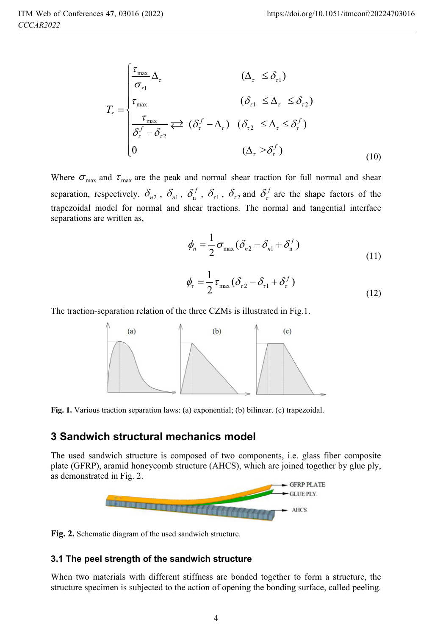$$
T_{\tau} = \begin{cases} \frac{\tau_{\text{max}}}{\sigma_{\tau 1}} \Delta_{\tau} & (\Delta_{\tau} \leq \delta_{\tau 1}) \\ \tau_{\text{max}} & (\delta_{\tau 1} \leq \Delta_{\tau} \leq \delta_{\tau 2}) \\ \frac{\tau_{\text{max}}}{\delta_{\tau}^{f} - \delta_{\tau 2}} & (\delta_{\tau}^{f} - \Delta_{\tau}) & (\delta_{\tau 2} \leq \Delta_{\tau} \leq \delta_{\tau}^{f}) \\ 0 & (\Delta_{\tau} > \delta_{\tau}^{f}) \end{cases}
$$
(10)

Where  $\sigma_{\text{max}}$  and  $\tau_{\text{max}}$  are the peak and normal shear traction for full normal and shear separation, respectively.  $\delta_{n2}$ ,  $\delta_{n1}$ ,  $\delta_{n1}^f$ ,  $\delta_{r1}$ ,  $\delta_{r2}$  and  $\delta_{r}^f$  are the shape factors of the trapezoidal model for normal and shear tractions. The normal and tangential interface separations are written as,

$$
\phi_n = \frac{1}{2}\sigma_{\max}(\delta_{n2} - \delta_{n1} + \delta_n^f)
$$
\n(11)

$$
\phi_{\tau} = \frac{1}{2} \tau_{\text{max}} (\delta_{\tau 2} - \delta_{\tau 1} + \delta_{\tau}^{f})
$$
\n(12)

The traction-separation relation of the three CZMs is illustrated in Fig.1.



**Fig. 1.** Various traction separation laws: (a) exponential; (b) bilinear. (c) trapezoidal.

### **3 Sandwich structural mechanics model**

The used sandwich structure is composed of two components, i.e. glass fiber composite plate (GFRP), aramid honeycomb structure (AHCS), which are joined together by glue ply, as demonstrated in Fig. 2.



**Fig. 2.** Schematic diagram of the used sandwich structure.

### **3.1 The peel strength of the sandwich structure**

When two materials with different stiffness are bonded together to form a structure, the structure specimen is subjected to the action of opening the bonding surface, called peeling.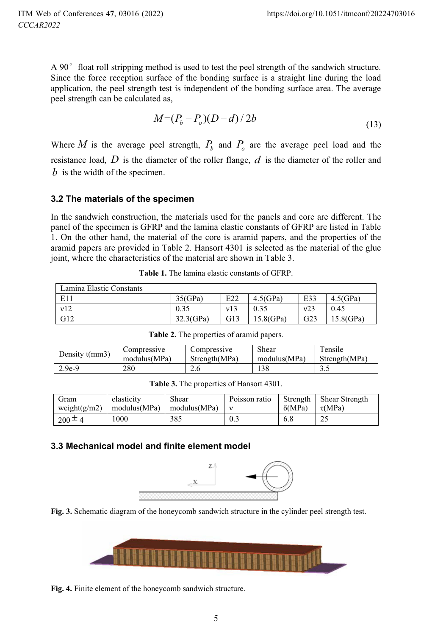A 90 $^{\circ}$  float roll stripping method is used to test the peel strength of the sandwich structure. Since the force reception surface of the bonding surface is a straight line during the load application, the peel strength test is independent of the bonding surface area. The average peel strength can be calculated as,

$$
M=(P_b - P_o)(D - d)/2b \tag{13}
$$

Where *M* is the average peel strength,  $P<sub>b</sub>$  and  $P<sub>a</sub>$  are the average peel load and the resistance load, *D* is the diameter of the roller flange, *d* is the diameter of the roller and *b* is the width of the specimen.

### **3.2 The materials of the specimen**

In the sandwich construction, the materials used for the panels and core are different. The panel of the specimen is GFRP and the lamina elastic constants of GFRP are listed in Table 1. On the other hand, the material of the core is aramid papers, and the properties of the aramid papers are provided in Table 2. Hansort 4301 is selected as the material of the glue joint, where the characteristics of the material are shown in Table 3.

| Lamina Elastic Constants |              |     |              |     |              |
|--------------------------|--------------|-----|--------------|-----|--------------|
| E11                      | 35(GPa)      | E22 | $4.5$ (GPa)  | E33 | $4.5$ (GPa)  |
| v12                      | 0.35         | v13 | 0.35         | v23 | 0.45         |
| G12                      | $32.3$ (GPa) | G13 | $15.8$ (GPa) | G23 | $15.8$ (GPa) |

**Table 1.** The lamina elastic constants of GFRP.

| Density $t(mm3)$ | Compressive  | Compressive   | Shear        | Tensile       |
|------------------|--------------|---------------|--------------|---------------|
|                  | modulus(MPa) | Strength(MPa) | modulus(MPa) | Strength(MPa) |
| 2.9e-9           | 280          | 2.6           | 138          | ن د           |

**Table 2.** The properties of aramid papers.

**Table 3.** The properties of Hansort 4301.

| Gram<br>weight $(g/m2)$ | elasticity<br>modulus(MPa) | Shear<br>modulus(MPa) | Poisson ratio | $\delta(MPa)$ | Strength Shear Strength<br>$\tau(MPa)$ |
|-------------------------|----------------------------|-----------------------|---------------|---------------|----------------------------------------|
| $200 \pm 4$             | 000                        | 385                   | 0.3           | 6.8           | 25                                     |

### **3.3 Mechanical model and finite element model**







**Fig. 4.** Finite element of the honeycomb sandwich structure.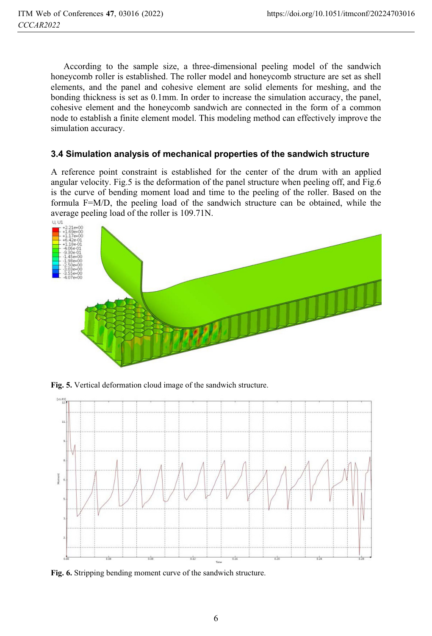According to the sample size, a three-dimensional peeling model of the sandwich honeycomb roller is established. The roller model and honeycomb structure are set as shell elements, and the panel and cohesive element are solid elements for meshing, and the bonding thickness is set as 0.1mm. In order to increase the simulation accuracy, the panel, cohesive element and the honeycomb sandwich are connected in the form of a common node to establish a finite element model. This modeling method can effectively improve the simulation accuracy.

### **3.4 Simulation analysis of mechanical properties of the sandwich structure**

A reference point constraint is established for the center of the drum with an applied angular velocity. Fig.5 is the deformation of the panel structure when peeling off, and Fig.6 is the curve of bending moment load and time to the peeling of the roller. Based on the formula F=M/D, the peeling load of the sandwich structure can be obtained, while the average peeling load of the roller is 109.71N.



**Fig. 5.** Vertical deformation cloud image of the sandwich structure.



**Fig. 6.** Stripping bending moment curve of the sandwich structure.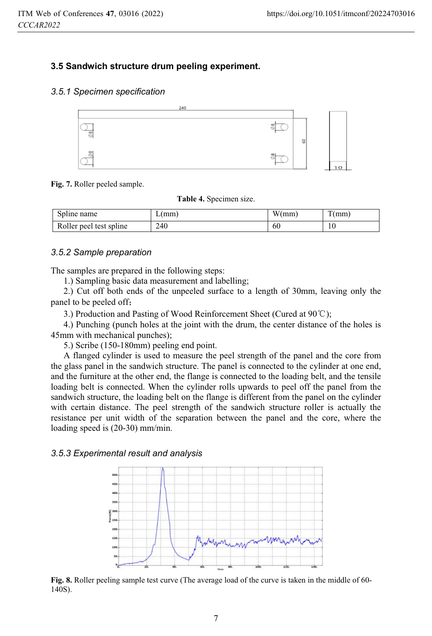### **3.5 Sandwich structure drum peeling experiment.**

#### *3.5.1 Specimen specification*



#### **Fig. 7.** Roller peeled sample.

**Table 4.** Specimen size.

| $\sim$ 1.<br>Spline name            | mm  | <b>TTT</b><br>'mm<br>w١ | $\mathbf{r}$<br>mm |
|-------------------------------------|-----|-------------------------|--------------------|
| <b>D</b><br>Roller peel test spline | 240 | 60                      | 1 V                |

#### *3.5.2 Sample preparation*

The samples are prepared in the following steps:

1.) Sampling basic data measurement and labelling;

2.) Cut off both ends of the unpeeled surface to a length of 30mm, leaving only the panel to be peeled off;

3.) Production and Pasting of Wood Reinforcement Sheet (Cured at 90°C);

4.) Punching (punch holes at the joint with the drum, the center distance of the holes is 45mm with mechanical punches);

5.) Scribe (150-180mm) peeling end point.

A flanged cylinder is used to measure the peel strength of the panel and the core from the glass panel in the sandwich structure. The panel is connected to the cylinder at one end, and the furniture at the other end, the flange is connected to the loading belt, and the tensile loading belt is connected. When the cylinder rolls upwards to peel off the panel from the sandwich structure, the loading belt on the flange is different from the panel on the cylinder with certain distance. The peel strength of the sandwich structure roller is actually the resistance per unit width of the separation between the panel and the core, where the loading speed is (20-30) mm/min.

#### *3.5.3 Experimental result and analysis*



**Fig. 8.** Roller peeling sample test curve (The average load of the curve is taken in the middle of 60- 140S).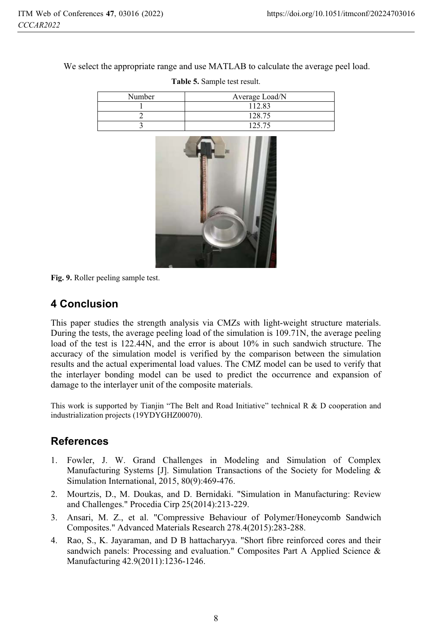We select the appropriate range and use MATLAB to calculate the average peel load.

| Number | Average Load/N |
|--------|----------------|
|        | 112.83         |
|        | 128.75         |
|        | 125.75         |

**Table 5.** Sample test result.



**Fig. 9.** Roller peeling sample test.

# **4 Conclusion**

This paper studies the strength analysis via CMZs with light-weight structure materials. During the tests, the average peeling load of the simulation is 109.71N, the average peeling load of the test is 122.44N, and the error is about 10% in such sandwich structure. The accuracy of the simulation model is verified by the comparison between the simulation results and the actual experimental load values. The CMZ model can be used to verify that the interlayer bonding model can be used to predict the occurrence and expansion of damage to the interlayer unit of the composite materials.

This work is supported by Tianjin "The Belt and Road Initiative" technical  $R \& D$  cooperation and industrialization projects (19YDYGHZ00070).

# **References**

- 1. Fowler, J. W. Grand Challenges in Modeling and Simulation of Complex Manufacturing Systems [J]. Simulation Transactions of the Society for Modeling & Simulation International, 2015, 80(9):469-476.
- 2. Mourtzis, D., M. Doukas, and D. Bernidaki. "Simulation in Manufacturing: Review and Challenges." Procedia Cirp 25(2014):213-229.
- 3. Ansari, M. Z., et al. "Compressive Behaviour of Polymer/Honeycomb Sandwich Composites." Advanced Materials Research 278.4(2015):283-288.
- 4. Rao, S., K. Jayaraman, and D B hattacharyya. "Short fibre reinforced cores and their sandwich panels: Processing and evaluation." Composites Part A Applied Science & Manufacturing 42.9(2011):1236-1246.